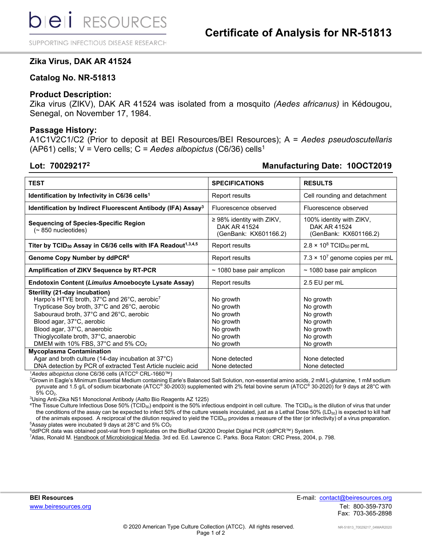SUPPORTING INFECTIOUS DISEASE RESEARCH

# **Zika Virus, DAK AR 41524**

# **Catalog No. NR-51813**

# **Product Description:**

Zika virus (ZIKV), DAK AR 41524 was isolated from a mosquito *(Aedes africanus)* in Kédougou, Senegal, on November 17, 1984.

### **Passage History:**

A1C1V2C1/C2 (Prior to deposit at BEI Resources/BEI Resources); A = *Aedes pseudoscutellaris* (AP61) cells; V = Vero cells; C = *Aedes albopictus* (C6/36) cells1

# **Lot: 700292172 Manufacturing Date: 10OCT2019**

| <b>TEST</b>                                                                                                                                                                                                                                                                                                                                                       | <b>SPECIFICATIONS</b>                                                                   | <b>RESULTS</b>                                                                          |
|-------------------------------------------------------------------------------------------------------------------------------------------------------------------------------------------------------------------------------------------------------------------------------------------------------------------------------------------------------------------|-----------------------------------------------------------------------------------------|-----------------------------------------------------------------------------------------|
|                                                                                                                                                                                                                                                                                                                                                                   |                                                                                         |                                                                                         |
| Identification by Infectivity in C6/36 cells <sup>1</sup>                                                                                                                                                                                                                                                                                                         | Report results                                                                          | Cell rounding and detachment                                                            |
| Identification by Indirect Fluorescent Antibody (IFA) Assay <sup>3</sup>                                                                                                                                                                                                                                                                                          | Fluorescence observed                                                                   | Fluorescence observed                                                                   |
| <b>Sequencing of Species-Specific Region</b><br>$($ $\sim$ 850 nucleotides)                                                                                                                                                                                                                                                                                       | $\geq$ 98% identity with ZIKV,<br>DAK AR 41524<br>(GenBank: KX601166.2)                 | 100% identity with ZIKV,<br>DAK AR 41524<br>(GenBank: KX601166.2)                       |
| Titer by TCID <sub>50</sub> Assay in C6/36 cells with IFA Readout <sup>1,3,4,5</sup>                                                                                                                                                                                                                                                                              | Report results                                                                          | $2.8 \times 10^8$ TCID <sub>50</sub> per mL                                             |
| Genome Copy Number by ddPCR <sup>6</sup>                                                                                                                                                                                                                                                                                                                          | Report results                                                                          | $7.3 \times 10^7$ genome copies per mL                                                  |
| <b>Amplification of ZIKV Sequence by RT-PCR</b>                                                                                                                                                                                                                                                                                                                   | $\sim$ 1080 base pair amplicon                                                          | $\sim$ 1080 base pair amplicon                                                          |
| Endotoxin Content (Limulus Amoebocyte Lysate Assay)                                                                                                                                                                                                                                                                                                               | Report results                                                                          | 2.5 EU per mL                                                                           |
| Sterility (21-day incubation)<br>Harpo's HTYE broth, 37°C and 26°C, aerobic7<br>Trypticase Soy broth, 37°C and 26°C, aerobic<br>Sabouraud broth, 37°C and 26°C, aerobic<br>Blood agar, 37°C, aerobic<br>Blood agar, 37°C, anaerobic<br>Thioglycollate broth, 37°C, anaerobic<br>DMEM with 10% FBS, 37°C and 5% CO <sub>2</sub><br><b>Mycoplasma Contamination</b> | No growth<br>No growth<br>No growth<br>No growth<br>No growth<br>No growth<br>No growth | No growth<br>No growth<br>No growth<br>No growth<br>No growth<br>No growth<br>No growth |
| Agar and broth culture (14-day incubation at 37°C)<br>DNA detection by PCR of extracted Test Article nucleic acid                                                                                                                                                                                                                                                 | None detected<br>None detected                                                          | None detected<br>None detected                                                          |

1 *Aedes albopictus* clone C6/36 cells (ATCC® CRL-1660™)

2 Grown in Eagle's Minimum Essential Medium containing Earle's Balanced Salt Solution, non-essential amino acids, 2 mM L-glutamine, 1 mM sodium pyruvate and 1.5 g/L of sodium bicarbonate (ATCC® 30-2003) supplemented with 2% fetal bovine serum (ATCC® 30-2020) for 9 days at 28°C with<br>5% CO<sub>2</sub>. 5% CO<sub>2</sub>.<br><sup>3</sup>l Ising Anti-

<sup>3</sup>Using Anti-Zika NS1 Monoclonal Antibody (Aalto Bio Reagents AZ 1225)<br><sup>4</sup>The Tissue Culture Infectious Dose 50% (TCID-s) endpoint is the 50% infe

<sup>4</sup>The Tissue Culture Infectious Dose 50% (TCID<sub>50</sub>) endpoint is the 50% infectious endpoint in cell culture. The TCID<sub>50</sub> is the dilution of virus that under the conditions of the assay can be expected to infect 50% of the culture vessels inoculated, just as a Lethal Dose 50% (LD<sub>50</sub>) is expected to kill half of the animals exposed. A reciprocal of the dilution required to yield the  $TCID_{50}$  provides a measure of the titer (or infectivity) of a virus preparation.  $^5$ Assay plates were incubated 9 days at 28°C and 5% CO $_2$ 

<sup>6</sup>ddPCR data was obtained post-vial from 9 replicates on the BioRad QX200 Droplet Digital PCR (ddPCR™) System.<br><sup>7</sup>Atlas, Ronald M. Handbook of Microbiological Media, 3rd ed. Ed. Lawrence C. Parks, Boca Raton: CRC Press,

<sup>7</sup>Atlas, Ronald M. Handbook of Microbiological Media. 3rd ed. Ed. Lawrence C. Parks. Boca Raton: CRC Press, 2004, p. 798.